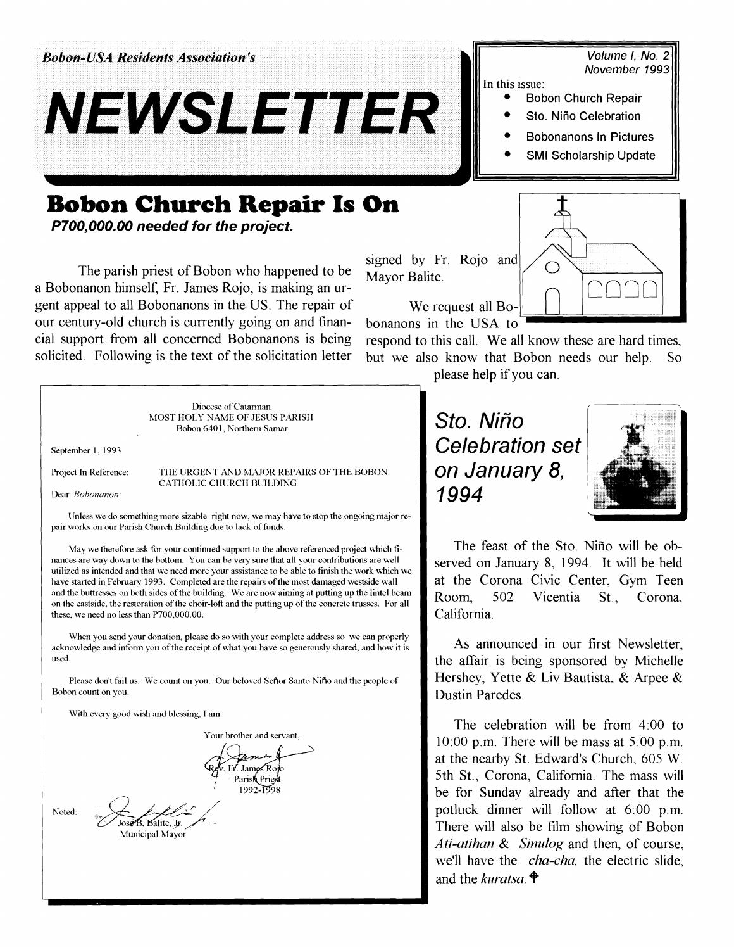**Bobon-USA Residents Association's** 



## Volume I, No. 2 **November** 1993

In this issue:

- Bobon Church Repair
- Sto. Niño Celebration
- Bobonanons In Pictures
- SMI Scholarship Update

## **Bobon Church Repair Is**

**P700,000.00 needed for the project.** 

The parish priest of Bobon who happened to be a Bobonanon himself, Fr. James Rojo, is making an urgent appeal to all Bobonanons in the US. The repair of our century-old church is currently going on and financia1 support from all concerned Bobonanons is being respond to this call. We all know these are hard times, solicited. Following is the text of the solicitation letter but we also know that Bobon needs our help. So

| O                                                                 |  |
|-------------------------------------------------------------------|--|
| signed by Fr. Rojo and<br>Mayor Balite.                           |  |
| We request all $Bo-$<br>honanons in the $IIX\Delta$<br>$\uparrow$ |  |

bonanons in the USA to

please help if you can.

Diocese of Catarman MOST HOLY NAME OF JESUS PARISH Bobon 6401, Northern Samar September 1, 1993 Project In Reference: THE URGENT AND MAJOR REPAIRS OF THE BOBON CATHOLIC CHURCH BUILDING Dear **Bobonanon**: Unless we do something more sizable right now, we may have to stop the ongoing major repair works on our Parish Church Building due to lack of funds. May we therefore ask for your continued support to the above referenced project which finances are way down to the bottom. You can be very sure that all your contributions are well utilized as intended and that we need more your assistance to be able to finish the work which we have started in February 1993. Completed are the repairs of the most damaged westside wall and the buttresses on both sides of the building. We are now aiming at putting up the lintel beam on the eastside, the restoration of the choir-loft and the putting up of the concrete trusses. For all these, we need no less than P700,000.00. When you send your donation, please do so with your complete address so we can properly acknowledge and inform you of the receipt of what you have so generously shared, and how it is used. Please don't fail us. We count on you. Our beloved Senor Santo Nino and the people of Rohon count on you. With every good wish and blessing, I am Your brother and servant, James Ro

Parish Priest 19921998 I Jose B. Balite, Jr.<br>Municipal Mayor

Sto. Niño Celebration set on January 8, 1994



The feast of the Sto. Nifio will be observed on January 8, 1994. It will be held at the Corona Civic Center, Gym Teen Room, 502 Vicentia St, Corona, California.

As announced in our first Newsletter, the affair is being sponsored by Michelle Hershey, Yette & Liv Bautista, & Arpee & Dustin Paredes.

The celebration will be from  $4:00$  to 10:00 p.m. There will be mass at 5:00 p.m. at the nearby St. Edward's Church, 605 W. 5th St., Corona, California. The mass will be for Sunday already and after that the potluck dinner will follow at 6:00 p.m. There will also be film showing of Bobon *Ati-atihan & Sinulog and then, of course,* we'll have the *cha-cha*, the electric slide, and the *kuratsa*.  $\hat{\mathbf{\Theta}}$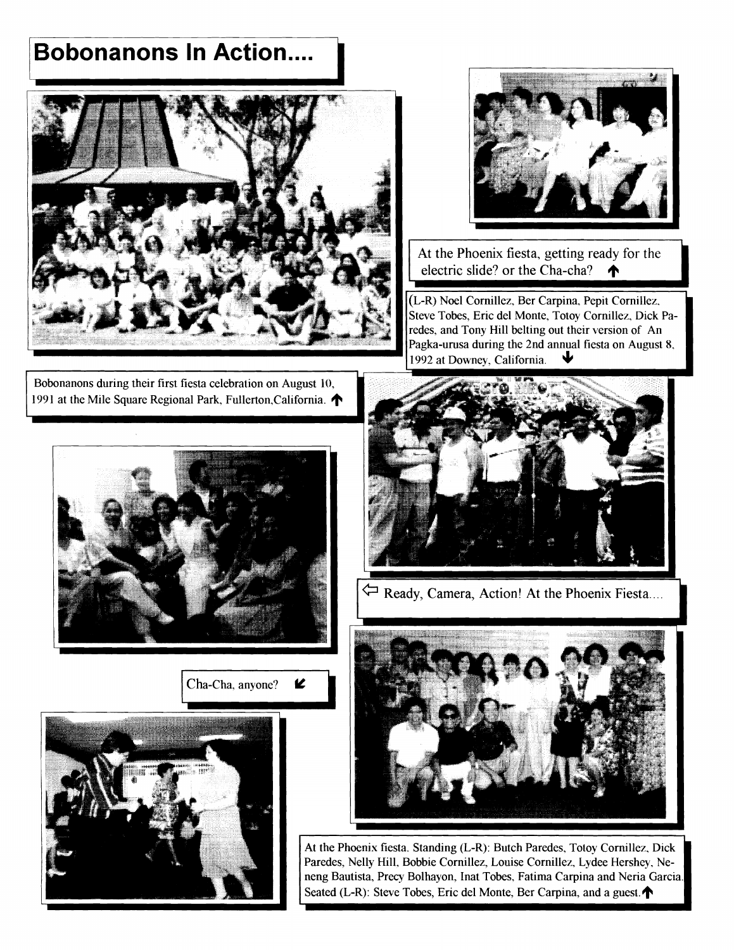## **Bobonanons In Action....**





At the Phoenix fiesta, getting ready for the electric slide? or the Cha-cha?

(L-R) Noel Cornillez, Ber Carpina, Pepit Cornillez, Steve Tobes, Eric del Monte, Totoy Cornillez, Dick Paredes, and Tony Hill belting out their version of An Pagka-urusa during the 2nd annual fiesta on August 8, 1992 at Downey, California.

Bobonanons during their first fiesta celebration on August 10, 1991 at the Mile Square Regional Park, Fullerton, California.



Cha-Cha, anyone? K





Ready, Camera, Action! At the Phoenix Fiesta....



At the Phoenix fiesta. Standing (L-R): Butch Paredes, Totoy Cornillez, Dick Paredes, Nelly Hill, Bobbie Cornillez, Louise Cornillez, Lydee Hershey, Neneng Bautista, Precy Bolhayon, Inat Tobes, Fatima Carpina and Neria Garcia. Seated (L-R): Steve Tobes, Eric del Monte, Ber Carpina, and a guest.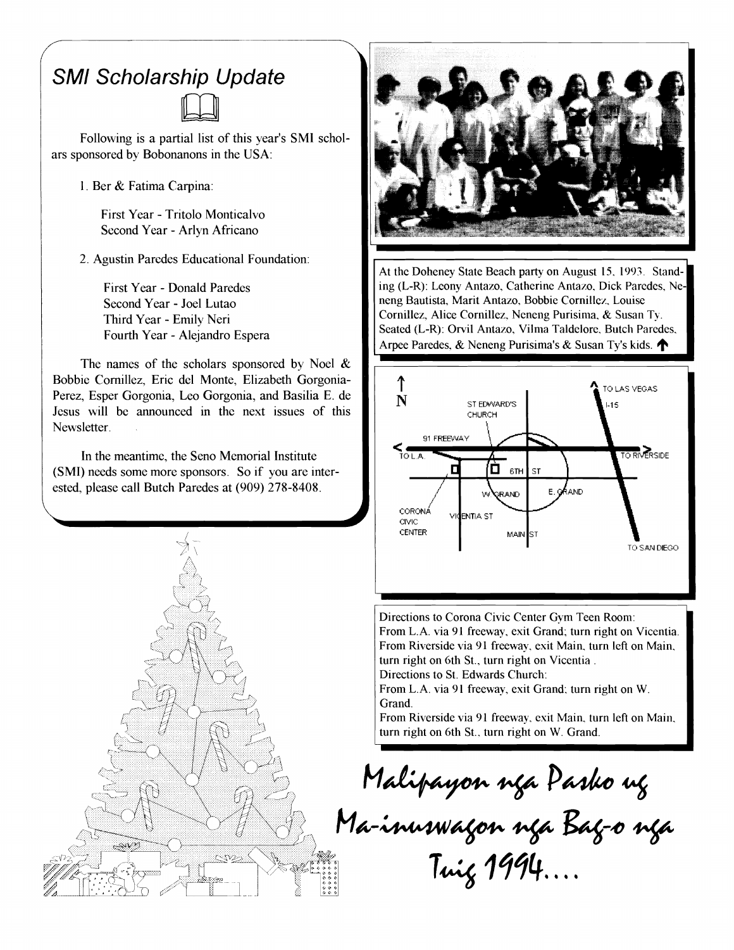## SMl Scholarship Update



Following is a partial list of this year's SMI scholars sponsored by Bobonanons in the USA:

1. Ber & Fatima Carpina:

First Year - Tritolo Monticalvo Second Year - Arlyn Africano

2. Agustin Paredes Educational Foundation:

First Year - Donald Paredes Second Year - Joel Lutao Third Year - Emily Neri Fourth Year - Alejandro Espera

The names of the scholars sponsored by Noel  $\&$ Bobbie Cornillez, Eric del Monte, Elizabeth Gorgonia-Perez, Esper Gorgonia, Leo Gorgonia, and Basilia E. de Jesus will be announced in the next issues of this Newsletter.

In the meantime, the Seno Memorial Institute (SMI) needs some more sponsors. So if you are interested, please call Butch Paredes at (909) 278-8408.





At the Doheney State Beach party on August 15. 1993. Standing (L-R): Leony Antazo, Catherine Antazo, Dick Paredes, Neneng Bautista, Marit Antazo, Bobbie Cornillez. Louise Cornillez, Alice Cornillez. Neneng Purisima, & Susan Ty. Seated (L-R): Orvil Antazo, **Vilma** Taldelore, Butch Paredes. Ing (E-R). Econy Antazo, Catherine Antazo, Dick Farcues, Ne-<br>neng Bautista, Marit Antazo, Bobbie Cornillez, Louise<br>Cornillez, Alice Cornillez, Neneng Purisima, & Susan Ty.<br>Seated (L-R): Orvil Antazo, Vilma Taldelore, Butch



Directions to Corona Civic Center Gym Teen Room: From L.A. via 91 freeway, exit Grand; turn right on Vicentia. From Riverside via 91 freeway, exit Main, turn left on Main, turn right on 6th St., turn right on Vicentia. Directions to St. Edwards Church:

From L.A. via 91 freeway, exit Grand; turn right on W. Grand.

From Riverside via 91 freeway, exit Main, turn left on Main, turn right on 6th St., turn right on W. Grand.

Malipayon nga Pasko ng<br>Ma-inuswagon nga Bag-o nga Twig 1994...